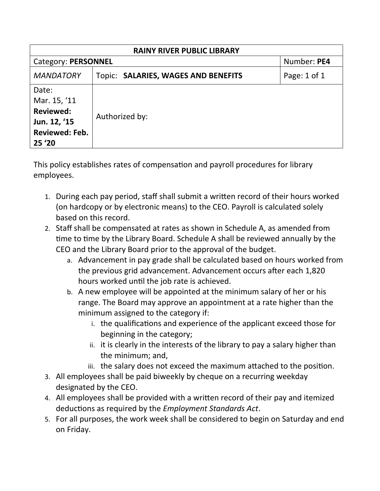| <b>RAINY RIVER PUBLIC LIBRARY</b>                                                            |                                     |              |  |  |  |  |
|----------------------------------------------------------------------------------------------|-------------------------------------|--------------|--|--|--|--|
| <b>Category: PERSONNEL</b>                                                                   | Number: PE4                         |              |  |  |  |  |
| <b>MANDATORY</b>                                                                             | Topic: SALARIES, WAGES AND BENEFITS | Page: 1 of 1 |  |  |  |  |
| Date:<br>Mar. 15, '11<br><b>Reviewed:</b><br>Jun. 12, '15<br><b>Reviewed: Feb.</b><br>25 '20 | Authorized by:                      |              |  |  |  |  |

This policy establishes rates of compensation and payroll procedures for library employees.

- 1. During each pay period, staff shall submit a written record of their hours worked (on hardcopy or by electronic means) to the CEO. Payroll is calculated solely based on this record.
- 2. Staff shall be compensated at rates as shown in Schedule A, as amended from time to time by the Library Board. Schedule A shall be reviewed annually by the CEO and the Library Board prior to the approval of the budget.
	- a. Advancement in pay grade shall be calculated based on hours worked from the previous grid advancement. Advancement occurs after each 1,820 hours worked until the job rate is achieved.
	- b. A new employee will be appointed at the minimum salary of her or his range. The Board may approve an appointment at a rate higher than the minimum assigned to the category if:
		- i. the qualifications and experience of the applicant exceed those for beginning in the category;
		- ii. it is clearly in the interests of the library to pay a salary higher than the minimum; and,
		- iii. the salary does not exceed the maximum attached to the position.
- 3. All employees shall be paid biweekly by cheque on a recurring weekday designated by the CEO.
- 4. All employees shall be provided with a written record of their pay and itemized deductions as required by the *Employment Standards Act*.
- 5. For all purposes, the work week shall be considered to begin on Saturday and end on Friday.